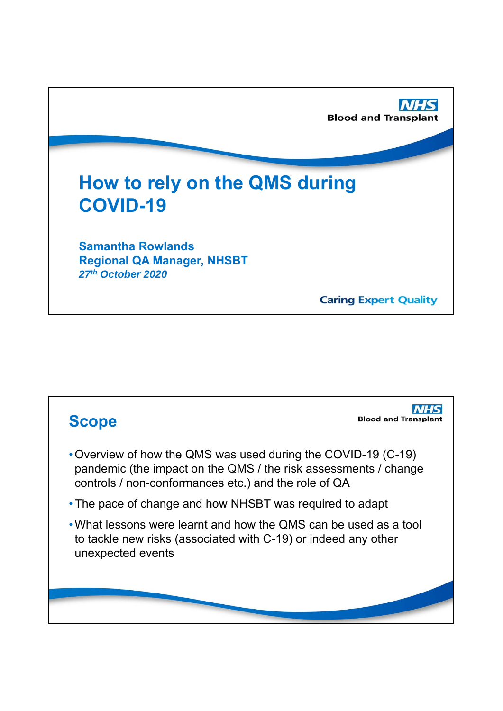

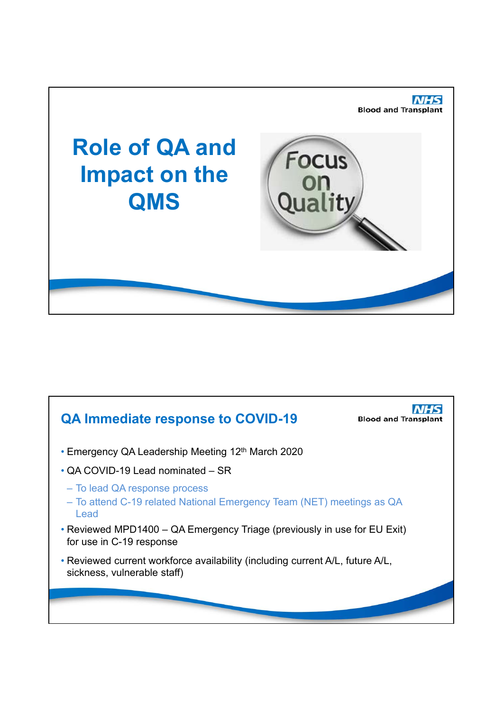

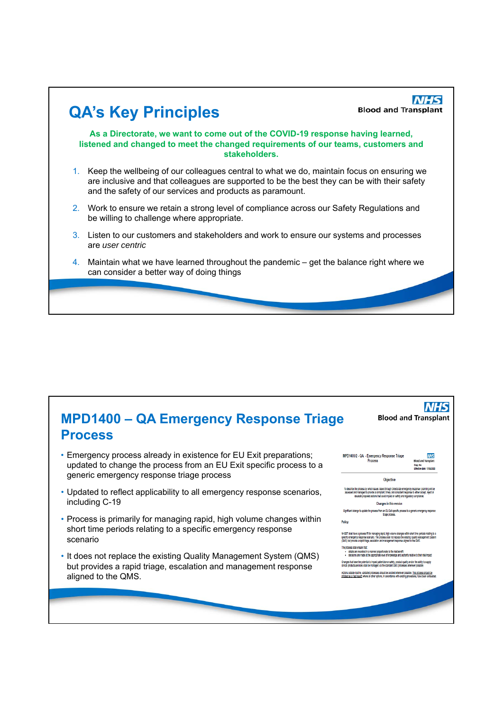

| <b>MPD1400 - QA Emergency Response Triage</b><br><b>Process</b>                                                                                                                        | <b>Blood and Transplant</b>                                                                                                                                                                                                                                                                                                                                                                                                                                                                                                                                                                                                                                    |
|----------------------------------------------------------------------------------------------------------------------------------------------------------------------------------------|----------------------------------------------------------------------------------------------------------------------------------------------------------------------------------------------------------------------------------------------------------------------------------------------------------------------------------------------------------------------------------------------------------------------------------------------------------------------------------------------------------------------------------------------------------------------------------------------------------------------------------------------------------------|
| • Emergency process already in existence for EU Exit preparations;<br>updated to change the process from an EU Exit specific process to a<br>generic emergency response triage process | MPD1400/2 - QA - Emergency Response Triage<br>Process<br><b>Blood and Transplant</b><br><b>Copy No:</b><br>Effective data: 17/03/2021<br>Objective                                                                                                                                                                                                                                                                                                                                                                                                                                                                                                             |
| • Updated to reflect applicability to all emergency response scenarios,<br>including C-19                                                                                              | To describe the process by which issues raised through Directorate emergency response / planning will be<br>assessed and managed to provide a compilant, timely and consistent response to either accept, reject or<br>escalate proposed actions that could impact on safety and requiatory compilance.<br>Changes in this version<br>Significant change to update the process from an EU Exit specific process to a generic emergency response                                                                                                                                                                                                                |
| • Process is primarily for managing rapid, high volume changes within<br>short time periods relating to a specific emergency response<br>scenario                                      | tiage process.<br>Policy<br>NHSBT shall have a process fit for managing rapid, high volume changes within short time periods relating to a<br>specific emergency response scenario. The process shall not replace the existing Quality Management System<br>(QMS) but provide a rapid trtage, escalation and management response aligned to the QMS.                                                                                                                                                                                                                                                                                                           |
| • It does not replace the existing Quality Management System (QMS)<br>but provides a rapid triage, escalation and management response<br>aligned to the QMS.                           | The process shall ensure that:<br>· details are recorded in a manner proportionate to the risk/benefit<br>. decisions are made at the appropriate level of knowledge and authority relative to their risk/impact<br>Changes that have the potential to impact patient/donor safety, product quality and/or the ability to supply<br>clinical products/services shall be managed via the standard QMS processes wherever possible<br>Actions outside routine, validated processes should be avoided wherever possible. This process should be<br>inflated as a fast resort where all other options, in accordance with existing procedures, have been exhausted |
|                                                                                                                                                                                        |                                                                                                                                                                                                                                                                                                                                                                                                                                                                                                                                                                                                                                                                |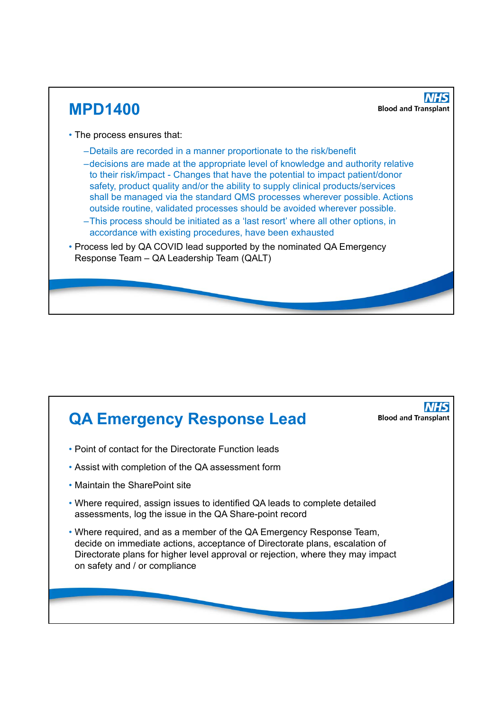

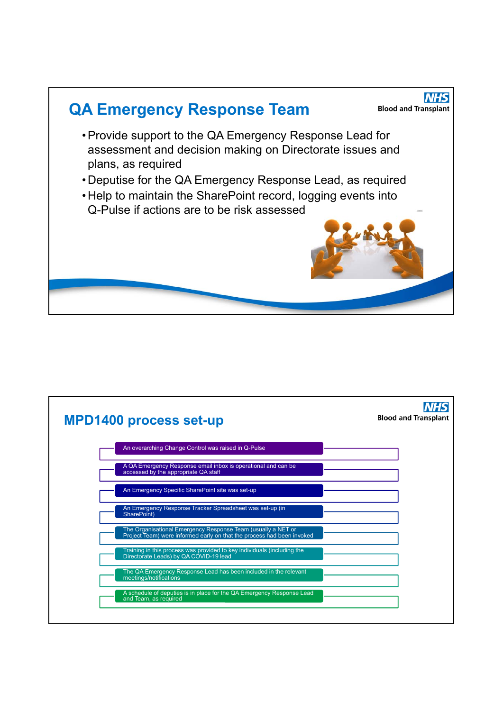

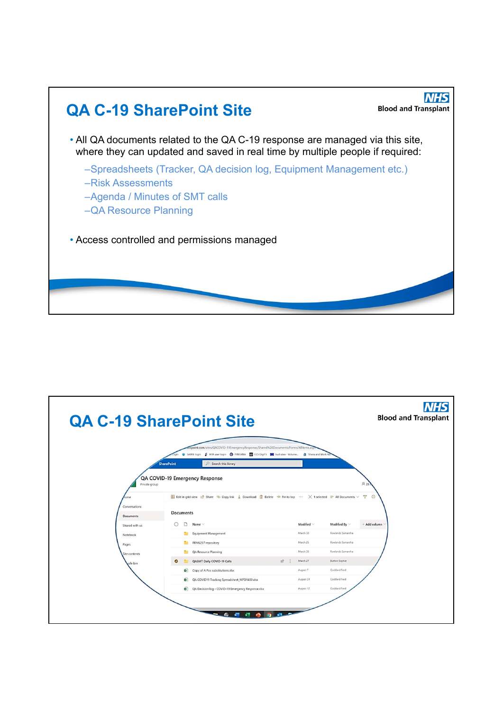

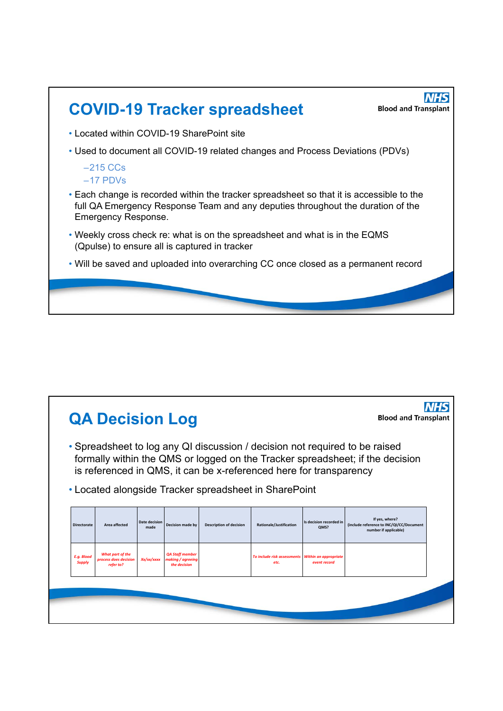

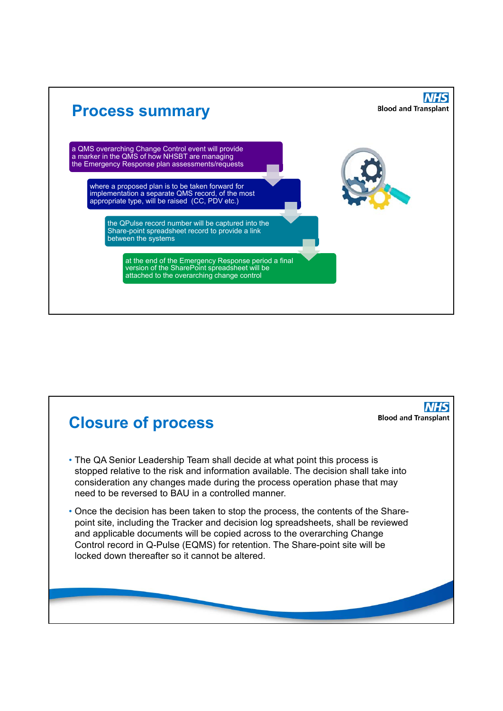

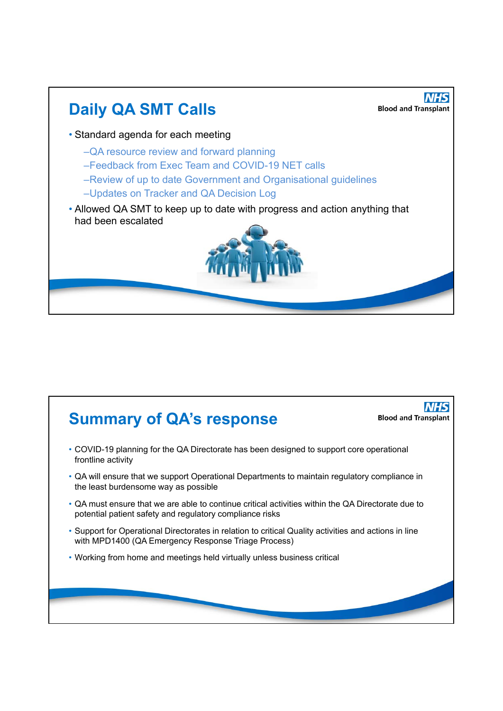

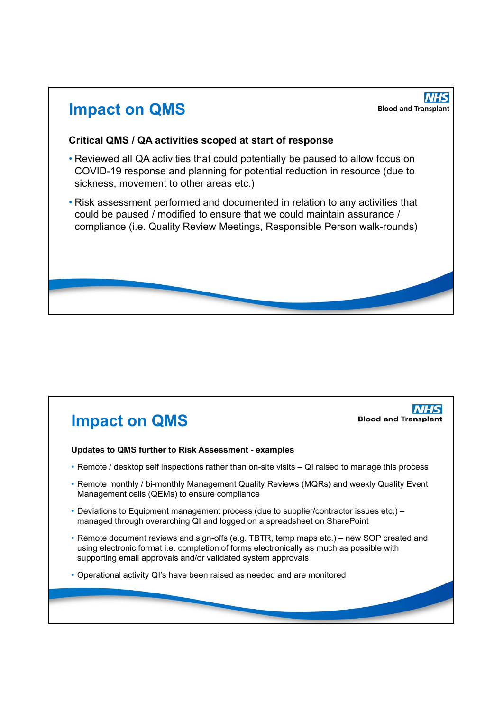## **Impact on QMS**

**NHS Blood and Transplant** 

**NHS** 

**Blood and Transplant** 

#### **Critical QMS / QA activities scoped at start of response**

- Reviewed all QA activities that could potentially be paused to allow focus on COVID-19 response and planning for potential reduction in resource (due to sickness, movement to other areas etc.)
- Risk assessment performed and documented in relation to any activities that could be paused / modified to ensure that we could maintain assurance / compliance (i.e. Quality Review Meetings, Responsible Person walk-rounds)

# **Impact on QMS**

#### **Updates to QMS further to Risk Assessment - examples**

- Remote / desktop self inspections rather than on-site visits QI raised to manage this process
- Remote monthly / bi-monthly Management Quality Reviews (MQRs) and weekly Quality Event Management cells (QEMs) to ensure compliance
- Deviations to Equipment management process (due to supplier/contractor issues etc.) managed through overarching QI and logged on a spreadsheet on SharePoint
- Remote document reviews and sign-offs (e.g. TBTR, temp maps etc.) new SOP created and using electronic format i.e. completion of forms electronically as much as possible with supporting email approvals and/or validated system approvals
- Operational activity QI's have been raised as needed and are monitored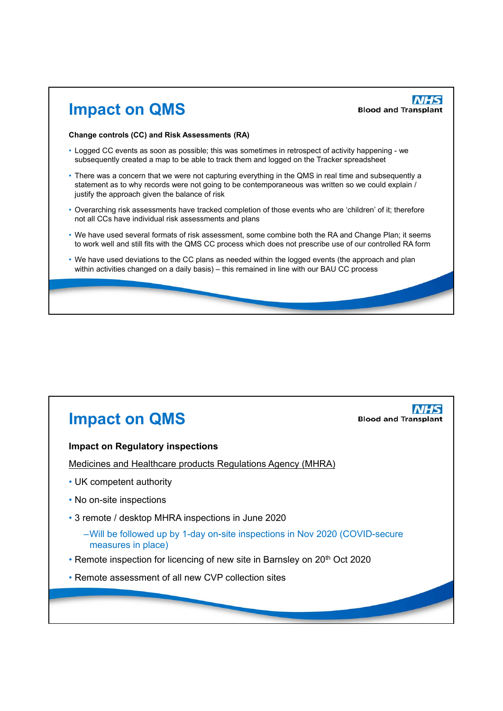

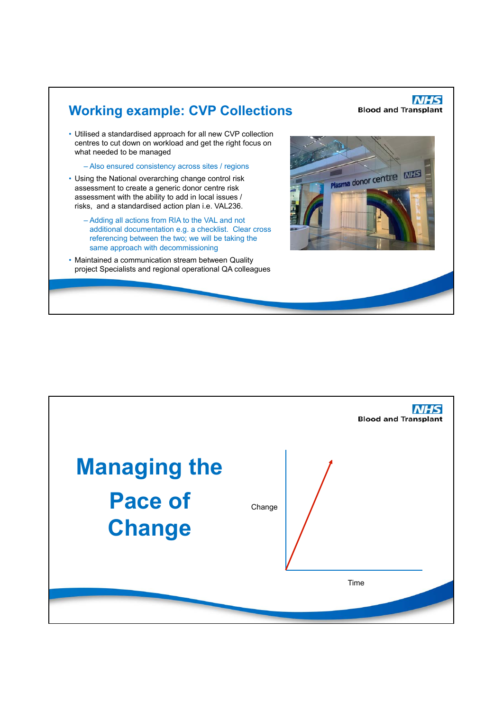

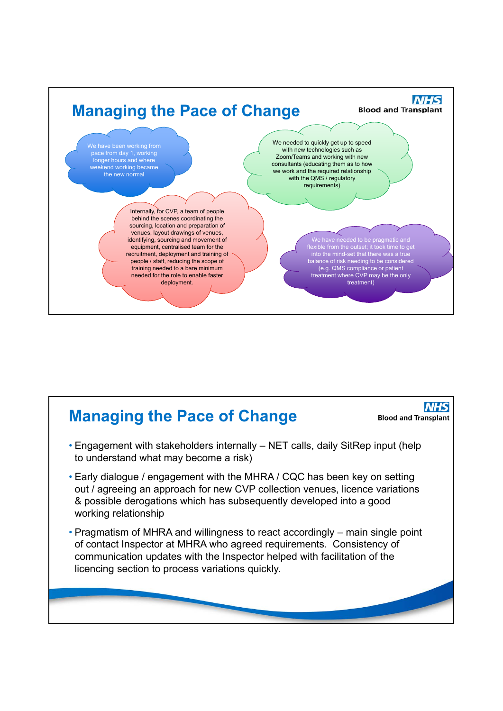

### **NHS Managing the Pace of Change Blood and Transplant** • Engagement with stakeholders internally – NET calls, daily SitRep input (help to understand what may become a risk) • Early dialogue / engagement with the MHRA / CQC has been key on setting out / agreeing an approach for new CVP collection venues, licence variations & possible derogations which has subsequently developed into a good working relationship • Pragmatism of MHRA and willingness to react accordingly – main single point of contact Inspector at MHRA who agreed requirements. Consistency of communication updates with the Inspector helped with facilitation of the licencing section to process variations quickly.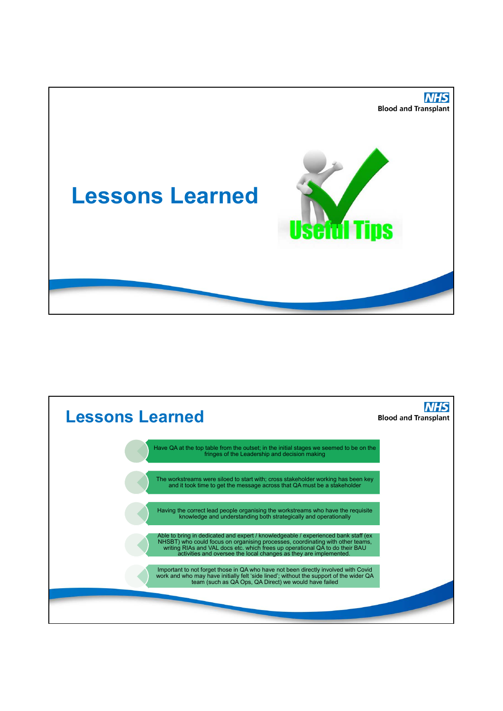